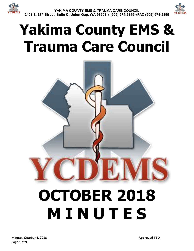

# **Yakima County EMS & Trauma Care Council**

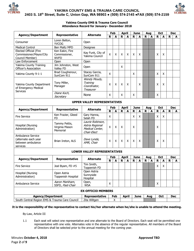



#### **Yakima County EMS & Trauma Care Council Attendance Record for January– December 2018**

| <b>Agency/Department</b>                                                   | Representative                              | <b>Alternate</b>                                                      | Feb<br><b>April</b>       |     | <b>June</b> |              | Aug                |             | Oct         |     | <b>Dec</b>  |     |             |            |
|----------------------------------------------------------------------------|---------------------------------------------|-----------------------------------------------------------------------|---------------------------|-----|-------------|--------------|--------------------|-------------|-------------|-----|-------------|-----|-------------|------------|
|                                                                            |                                             |                                                                       | R                         | A   | R           | A            | $\mathbf R$        | A           | R           | A   | $\mathbf R$ | A   | R           | A          |
| Consumer                                                                   | Loren Belton,<br><b>YVCOG</b>               | Open                                                                  |                           |     |             |              |                    |             |             |     |             |     |             |            |
| <b>Medical Control</b>                                                     | Ben Maltz MPD                               | Designee                                                              |                           |     |             |              |                    |             |             |     |             |     |             |            |
| Elected Official (Fire                                                     | Ken Eakin, Fire                             | Kay Funk, City of                                                     |                           |     |             |              |                    |             |             |     |             |     |             |            |
| Commissioner/Mayor/City                                                    | Commissioner,                               | Yakima Council                                                        | $\boldsymbol{\mathsf{X}}$ | X   | X           | X            | X                  | X           |             |     | X           | X   |             |            |
| Council Member)                                                            | <b>WVFD</b>                                 |                                                                       |                           |     |             |              |                    |             |             |     |             |     |             |            |
| Law Enforcement                                                            | Open                                        | Open                                                                  |                           |     |             |              |                    |             |             |     |             |     |             |            |
| Yakima County Training<br>Officer's Association                            | Jim Johnston, West<br>Valley FD             | Open                                                                  |                           |     | X           |              |                    |             |             |     |             |     |             |            |
| Yakima County 9-1-1                                                        | Brad Coughenour,<br>SunCom 911              | Stacey Garcia,<br>SunCom 911                                          | $\mathsf{X}$              |     |             |              | X                  |             |             |     | X           | X   |             |            |
| Yakima County Department<br>of Emergency Medical<br><b>Services</b>        | Tony Miller,<br>Manager                     | Wendy Moudy,<br>Training<br>Coordinator,<br>Treasurer                 | X                         | X   | X           | X            |                    | X           |             |     | X           | X   |             |            |
|                                                                            | Diane Koch,<br>Secretary                    | None                                                                  | X                         |     | X           |              | X                  |             |             |     | X           |     |             |            |
| <b>UPPER VALLEY REPRESENTATIVES</b>                                        |                                             |                                                                       |                           |     |             |              |                    |             |             |     |             |     |             |            |
|                                                                            |                                             |                                                                       |                           | Feb |             | <b>April</b> |                    | <b>June</b> |             | Aug |             | Oct |             | <b>Dec</b> |
| <b>Agency/Department</b>                                                   | Representative                              | <b>Alternate</b>                                                      | R                         | A   | $\mathbf R$ | A            | $\mathbf R$        | A           | $\mathbf R$ | A   | $\mathbf R$ | A   | $\mathbf R$ | A          |
| <b>Fire Service</b>                                                        | Ken Frazier, Gleed<br><b>FD</b>             | Gary Hanna,<br>Selah FD                                               | $\mathsf{x}$              |     |             |              | X                  | X           |             |     | X           | X   |             |            |
| Hospital (Nursing<br>Administration)                                       | Tammy Pettis,<br>Virginia Mason<br>Memorial | Laurie Robinson,<br>Astria Regional<br>Medical Center,<br>Chair-Elect | X                         | X   | X           |              | X                  |             |             |     | X           |     |             |            |
| Ambulance Service<br>(alternate each year<br>between ambulance<br>services | Brian Ireton, ALS                           | Dave Lynde,<br>AMR, Chair                                             | X                         | X   | X           | X            | $\pmb{\mathsf{X}}$ | X           |             |     | X           | X   |             |            |
|                                                                            |                                             | <b>LOWER VALLEY REPRESENTATIVES</b>                                   |                           |     |             |              |                    |             |             |     |             |     |             |            |
|                                                                            |                                             |                                                                       |                           | Feb |             | April        |                    | <b>June</b> |             | Aug |             | Oct |             | <b>Dec</b> |
| <b>Agency/Department</b>                                                   | Representative                              | <b>Alternate</b>                                                      | $\mathbf R$               | A   | $\mathbf R$ | A            | R                  | A           | R           | A   | $\mathbf R$ | A   | R           | A          |
| <b>Fire Service</b>                                                        | Joel Byam, FD #5                            | Tim Smith,<br>Toppenish FD                                            |                           |     |             |              |                    |             |             |     | X           | X   |             |            |
| Hospital (Nursing<br>Administration)                                       | Open Astria<br>Toppenish Hospital           | Open Astria<br>Sunnyside<br>Hospital                                  |                           |     |             |              |                    |             |             |     |             |     |             |            |
| Ambulance Service                                                          | Aaron Markham,<br>SSFD, Past-Chair          | Open,<br><b>WSA</b>                                                   | X                         |     |             |              |                    |             |             |     | X           |     |             |            |
| <b>EX-OFFICIO MEMBERS</b>                                                  |                                             |                                                                       |                           |     |             |              |                    |             |             |     |             |     |             |            |
| <b>Agency/Department</b>                                                   |                                             | Representative                                                        |                           | Feb |             | <b>April</b> |                    | <b>June</b> |             | Aug |             | Oct |             | <b>Dec</b> |
| South Central Region EMS & Trauma Care Council                             |                                             | Zita Wiltgen                                                          |                           | X   |             |              |                    |             |             |     |             |     |             |            |

**It is the responsibility of the representative to contact his/her alternate when he/she is unable to attend the meeting.**

By-Law, Article III

1.1 Each seat will select one representative and one alternate to the Board of Directors. Each seat will be permitted one representative with one vote. Alternates vote in the absence of the regular representative. All members of the Board of Directors shall be selected prior to the annual meeting for the coming year.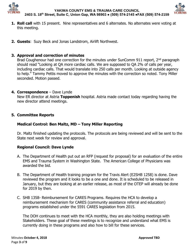



- **1. Roll call** with 15 present. Nine representatives and 6 alternates. No alternates were voting at this meeting.
- **2. Guests**: Suzy Beck and Jonas Landstrom, Airlift Northwest.

# **3. Approval and correction of minutes**

Brad Coughenour had one correction for the minutes under SunComm 911 report, 2<sup>nd</sup> paragraph should read "Looking at QA more cardiac calls. We are supposed to QA 2% of calls per year, including cardiac calls. That would translate into 250 calls per month. Looking at outside agency to help." Tammy Pettis moved to approve the minutes with the correction so noted. Tony Miller seconded. Motion passed.

# **4. Correspondence** – Dave Lynde

New ER director at Astria **Toppenish** hospital. Astria made contact today regarding having the new director attend meetings.

# **5. Committee Reports**

# **Medical Control: Ben Maltz, MD – Tony Miller Reporting**

Dr. Maltz finished updating the protocols. The protocols are being reviewed and will be sent to the State next week for review and approval.

# **Regional Council: Dave Lynde**

- A. The Department of Health put out an RFP (request for proposal) for an evaluation of the entire EMS and Trauma System in Washington State. The American College of Physicians was awarded the bid.
- B. The Department of Health training program for the Travis Alert (E2SHB 1258) is done. Dave reviewed the program and it looks to be a one and done. It is scheduled to be released in January, but they are looking at an earlier release, as most of the OTEP will already be done for 2019 by then.
- C. SHB 1358- Reimbursement for CARES Programs. Requires the HCA to develop a reimbursement mechanism for CARES (community assistance referral and education) programs established under the 5591 CARES legislation from 2015.

The DOH continues to meet with the HCA monthly, they are also holding meetings with Stakeholders. These goal of these meetings is to recognize and understand what EMS is currently doing in these programs and also how to bill for these services.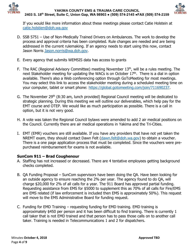



If you would like more information about these meetings please contact Catie Holstein at [catie.holstien@doh.wa.gov](mailto:catie.holstien@doh.wa.gov)

- D. SSB 5751 Use of Non-Medically Trained Drivers on Ambulances. The work to develop the process and approval criteria has been completed. Rule changes are needed and are being addressed in the current rulemaking. If an agency needs to start using this now, contact Jason Norris [Jason.norris@wa.doh.gov.](mailto:Jason.norris@wa.doh.gov)
- E. Every agency that submits WEMSIS data has access to grants
- F. The RAC (Regional Advisory Committee) meeting November 13<sup>th</sup>, will be a rules meeting. The next Stakeholder meeting for updating the WACs is on October 17<sup>th</sup>. There is a dial in option available. There's also a Web conferencing option through GoToMeeting for most meetings. You may select this link to access the stakeholder meeting during a scheduled meeting time on your computer, tablet or smart phone: [https://global.gotomeeting.com/join/711690237.](https://global.gotomeeting.com/join/711690237)
- G. The November 29th (8:30 am, lunch provided) Regional Council meeting will be dedicated to strategic planning. During this meeting we will outline our deliverables, which help pay for the EMT course and OTEP. We would like as much participation as possible. There is a call in option, but it is not very good.
- H. A vote was taken the Regional Council bylaws were amended to add 2 air medical positions on the Council. Currently there are air medical operations in Yakima and the Tri-Cities.
- I. EMT (EMR) vouchers are still available. If you have any providers that have not yet taken the NREMT exam, they should contact Dawn Felt [\(dawn.felt@doh.wa.gov\)](mailto:dawn.felt@doh.wa.gov) to obtain a voucher. There is a one page application process that must be completed. Since the vouchers were prepurchased reimbursement for exams is not available.

# **SunCom 911 – Brad Coughenour**

- A. Staffing has not increased or decreased. There are 4 tentative employees getting background checks completed.
- B. QA Funding Proposal SunCom supervisors have been doing the QA. Have been looking for an outside agency to ensure reaching the 2% per year. The agency found to do QA, will charge \$20,000 for 2% of all calls for a year. The 911 Board has approved partial funding. Requesting assistance from EMS for \$5000 to supplement this as 70% of all calls for Fire/EMS are EMS related (if law enforcement is included then EMS is approximately 50%). This request will move to the EMS Administrative Board for funding request.
- C. Funding for EMD Training requesting funding for EMD training. EMD training is approximately \$450 per person and it has been difficult to find training. There is currently 1 call taker that is not EMD trained and that person has to pass those calls on to another call taker. Training is needed in Telecommunications 1 and 2 for dispatchers.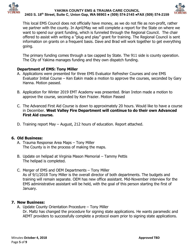



This local EMS Council does not officially have money, as we do not file as non-profit, rather we partner with the county. In April/May we will complete a report for the State on where we want to spend our grant funding, which is funneled through the Regional Council. The chair offered to assist with writing a "plug and play" grant for training. The Regional Council is sent information on grants on a frequent basis. Dave and Brad will work together to get everything going.

The primary funding comes through a tax capped by State. The 911 side is county operation. The City of Yakima manages funding and they own dispatch funding.

# **Department of EMS: Tony Miller**

- A. Applications were presented for three EMS Evaluator Refresher Courses and one EMS Evaluator Initial Course – Ken Eakin made a motion to approve the courses, seconded by Gary Hanna. Motion passed.
- B. Application for Winter 2019 EMT Academy was presented. Brian Ireton made a motion to approve the course, seconded by Ken Frazier. Motion Passed
- C. The Advanced First Aid Course is down to approximately 20 hours. Would like to have a course in December. **West Valley Fire Department will continue to do their own Advanced First Aid course.**
- D. Training report May August, 212 hours of education. Report attached.

## **6. Old Business:**

- A. Trauma Response Area Maps Tony Miller The County is in the process of making the maps.
- B. Update on helipad at Virginia Mason Memorial Tammy Pettis The helipad is completed.
- C. Merger of EMS and OEM Departments Tony Miller As of 9/1/2018 Tony Miller is the overall director of both departments. The budgets and training will remain separate. OEM has new office assistant. Mid-November interview for the EMS administrative assistant will be held, with the goal of this person starting the first of January.

## **7. New Business:**

A. Update County Orientation Procedure – Tony Miller Dr. Maltz has changed the procedure for signing state applications. He wants paramedic and AEMT providers to successfully complete a protocol exam prior to signing state applications.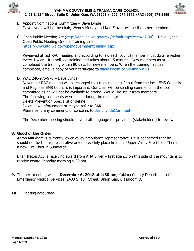



- B. Appoint Nominations Committee Dave Lynde Dave Lynde will be the chair, Wendy Moudy and Ken Frazier will be the other members.
- C. Open Public Meeting Act [\(http://app.leg.wa.gov/rcw/default.aspx?cite=42.30\)](http://app.leg.wa.gov/rcw/default.aspx?cite=42.30) Dave Lynde Open Public Meeting On-line Training Link: <https://www.atg.wa.gov/opengovernmenttraining.aspx>

Reviewed at last RAC meeting and according to law each council member must do a refresher every 4 years. It is self-led training and takes about 15 minutes. New members must completed the training within 90 days for new members. When the training has been completed, email a copy of your certificate to [diane.koch@co.yakima.wa.us.](mailto:diane.koch@co.yakima.wa.us)

D. WAC 246-976-970 – Dave Lynde

November RAC meeting will be changed to a rules meeting. Input from the local EMS Councils and Regional EMS Councils is important. Our chair will be sending comments in the too committee as he will not be available to attend. Would like input from members. The following comments were made during the meeting: Delete Prevention Specialist or define Delete law enforcement or maybe refer to SAR Please send any comments or concerns to [david.lynde@amr.net](mailto:david.lynde@amr.net)

The December meeting should have draft language for providers (stakeholders) to review.

# **8. Good of the Order**

Aaron Markham is currently lower valley ambulance representative. He is concerned that he should not be that representative any more. Only place he fits is Upper Valley Fire Chief. There is a new Fire Chief in Sunnyside.

Brian Ireton ALS is receiving award from AHA Silver – first agency on this side of the mountains to receive award. Monday morning 9:30 am.

- **9.** The next meeting will be **December 6, 2018 at 1:30 pm,** Yakima County Department of Emergency Medical Services, 2403 S. 18th Street, Union Gap, Classroom B.
- **10.** Meeting adjourned.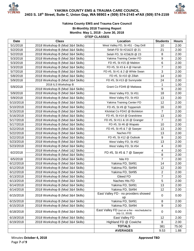



 $\overline{\phantom{a}}$ 

#### **Yakima County EMS and Trauma Care Council Bi-Monthly 2018 Training Report Months: May 1, 2018 - June 30, 2018 OTEP CLASSES**

| Date      | <b>Class</b>                     | Location                                                         | <b>Students</b> | <b>Hours</b> |
|-----------|----------------------------------|------------------------------------------------------------------|-----------------|--------------|
| 5/1/2018  | 2018 Workshop B (Mod 3&4 Skills) | West Valley FD, St #51 - Day Drill                               | 10              | 2.00         |
| 5/2/2018  | 2018 Workshop B (Mod 3&4 Skills) | Selah FD St #21&22 @ 21                                          | 21              | 2.00         |
| 5/2/2018  | 2018 Workshop B (Mod 3&4 Skills) | Selah FD, St #23&26 @ 23                                         | 8               | 2.00         |
| 5/3/2018  | 2018 Workshop B (Mod 3&4 Skills) | Yakima Training Center FD                                        | 9               | 2.00         |
| 5/3/2018  | 2018 Workshop B (Mod 3&4 Skills) | FD #5, St #15 @ Mabton                                           | 6               | 2.00         |
| 5/3/2018  | 2018 Workshop B (Mod 3&4 Skills) | FD #5, St #3 & 4 @ Harrah                                        | $\overline{7}$  | 2.00         |
| 5/7/2018  | 2018 Workshop B (Mod 3&4 Skills) | FD #5, St #1 & 2 @ White Swan                                    | 3               | 2.00         |
| 5/8/2018  | 2018 Workshop B (Mod 3&4 Skills) | FD #5, St #10 @ Zillah                                           | 14              | 2.00         |
| 5/9/2018  | 2018 Workshop B (Mod 3&4 Skills) | FD #5, St #13 @ Sunnyside                                        | 24              | 2.00         |
| 5/9/2018  | 2018 ILS Workshop B              | Grant Co FD#8 @ Mattawa                                          | 1               | 1.00         |
|           | 2018 Workshop B (Mod 3&4 Skills) |                                                                  | 9               | 2.00         |
| 5/9/2018  | 2018 Workshop B (Mod 3&4 Skills) | West Valley FD, St #51                                           | 18              | 2.00         |
| 5/9/2018  | 2018 Workshop B (Mod 3&4 Skills) | West Valley FD, St #53                                           | 13              | 2.00         |
| 5/10/2018 | 2018 Workshop B (Mod 3&4 Skills) | Yakima Training Center FD                                        | 12              | 2.00         |
| 5/10/2018 | 2018 Workshop B (Mod 3&4 Skills) | FD #5, St #9 @ Toppenish                                         | 16              | 2.00         |
| 5/15/2018 | 2018 Workshop B (Mod 3&4 Skills) | Klickitat Co FD#2 @ Bickleton                                    | $\overline{7}$  | 2.00         |
| 5/16/2018 | 2018 Workshop B (Mod 3&4 Skills) | FD #5, St #14 @ Grandview                                        | 13              | 2.00         |
| 5/17/2018 | 2018 Workshop B (Mod 3&4 Skills) | FD #5, St #11 & 16 @ Granger                                     | $\overline{7}$  | 2.00         |
| 5/17/2018 | 2018 Workshop B (Mod 3&4 Skills) | FD #5, St #6 @ Wapato                                            | 10              | 2.00         |
| 5/22/2018 | 2018 Workshop B (Mod 3&4 Skills) | FD #5, St #5 & 7 @ Sawyer                                        | 13              | 2.00         |
| 5/22/2018 | 2018 Workshop B (Mod 3&4 Skills) | Naches FD                                                        | 13              | 2.00         |
| 5/22/2018 | 2018 Workshop B (Mod 3&4 Skills) | FD #5, St #12 @ Outlook                                          | 9               | 2.00         |
| 5/23/2018 | 2018 Workshop B (Mod 3&4 Skills) | West Valley FD, St #52                                           | 13              | 2.00         |
| 5/23/2018 | 2018 Workshop B (Mod 3&4 Skills) | West Valley FD, St #54                                           | 4               | 2.00         |
| 6/2/2018  | 2018 Workshop A (Mod 1&2 Skills) | FD #5, St #5 & 7 @ Sawyer                                        | $\overline{4}$  | 2.00         |
|           | 2018 Workshop B (Mod 3&4 Skills) |                                                                  | 8               | 2.00         |
| 6/5/2018  | 2018 Workshop B (Mod 3&4 Skills) | Nile FD                                                          | $\overline{7}$  | 2.00         |
| 6/12/2018 | 2018 Workshop B (Mod 3&4 Skills) | Yakima FD, St#91                                                 | 14              | 2.00         |
| 6/12/2018 | 2018 Workshop B (Mod 3&4 Skills) | Yakima FD, St#94                                                 | 12              | 2.00         |
| 6/12/2018 | 2018 Workshop B (Mod 3&4 Skills) | Yakima FD, St#95                                                 | $\overline{2}$  | 2.00         |
| 6/13/2018 | 2018 Workshop B (Mod 3&4 Skills) | Gleed FD                                                         | $\overline{7}$  | 2.00         |
| 6/13/2018 | 2018 Workshop B (Mod 3&4 Skills) | Naches Hts FD                                                    | 5               | 2.00         |
| 6/14/2018 | 2018 Workshop B (Mod 3&4 Skills) | Yakima FD, St#91                                                 | 13              | 2.00         |
| 6/14/2018 | 2018 Workshop B (Mod 3&4 Skills) | Yakima FD, St#94                                                 | 12              | 2.00         |
| 6/15/2018 | 2018 Workshop B (Mod 3&4 Skills) | East Valley FD - no providers showed<br>up                       | 0               | 0.00         |
| 6/15/2018 | 2018 Workshop B (Mod 3&4 Skills) | Yakima FD, St#91                                                 | 8               | 2.00         |
| 6/15/2018 | 2018 Workshop B (Mod 3&4 Skills) | Yakima FD, St#94                                                 | 9               | 2.00         |
| 6/18/2018 | 2018 Workshop B (Mod 3&4 Skills) | East Valley FD (out on a fire - rescheduled to<br>July 11, 2018) | 0               | 0.00         |
| 6/19/2018 | 2018 Workshop B (Mod 3&4 Skills) | East Valley FD                                                   | 12              | 2.00         |
| 6/19/2018 | 2018 Workshop B (Mod 3&4 Skills) | Highland FD @ Cowiche                                            | 8               | 2.00         |
|           |                                  | <b>TOTALS</b>                                                    | 381             | 75.00        |
|           |                                  | <b>AVERAGES</b>                                                  | 9.53            | 1.88         |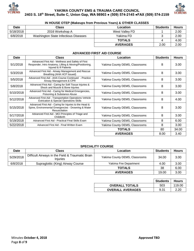



#### **IN HOUSE OTEP (Makeups from Previous Years) & OTHER CLASSES**

| <b>Date</b> | Class                                | Location        | <b>Students</b> | <b>Hours</b> |  |  |
|-------------|--------------------------------------|-----------------|-----------------|--------------|--|--|
| 5/18/2018   | 2016 Workshop A                      | West Valley FD  |                 | 2.00         |  |  |
| 6/8/2018    | Washington State Infectious Diseases | Yakima FD       |                 | 2.00         |  |  |
|             |                                      | <b>TOTALS</b>   |                 | 4.00         |  |  |
|             |                                      | <b>AVERAGES</b> | 2.00            | 2.00         |  |  |

#### **ADVANCED FIRST AID COURSE**

| Date      | <b>Class</b>                                                                                                                           | Location                       | <b>Students</b> | <b>Hours</b> |
|-----------|----------------------------------------------------------------------------------------------------------------------------------------|--------------------------------|-----------------|--------------|
| 5/1/2018  | Advanced First Aid - Wellness and Safety of First<br>Responder, Intro Anatomy, Lifting & Moving/Positioning,<br>Injured & III Patients | Yakima County DEMS, Classrooms | 8               | 3.00         |
| 5/3/2018  | Advanced First Aid - Airway Management and Rescue<br>Breathing (AHA HCP Issued)                                                        | Yakima County DEMS, Classrooms | 8               | 3.00         |
| 5/5/2018  | Advanced First Aid - AHA Course Continued - Practice<br>Airway Management & CPR                                                        | Yakima County DEMS, Classrooms | 8               | 3.00         |
| 5/8/2018  | Advanced First Aid - Caring for Soft Tissue Injuries &<br>Shock and Muscle & Bone Injuries                                             | Yakima County DEMS, Classrooms | 8               | 3.00         |
| 5/10/2018 | Advanced First Aid - Caring for Medical Emergencies,<br>Poisoning & Substance Abuse                                                    | Yakima County DEMS, Classrooms | 8               | 3.00         |
| 5/12/2018 | Advanced First Aid - Transportation Operations Vehicle<br><b>Extrication &amp; Special Operations Skills</b>                           | Yakima County DEMS, Classrooms | 8               | 4.00         |
| 5/15/2018 | Advanced First Aid - Caring for Injuries to the Head &<br>Spine, Environmental Emergencies - Drowning & Water<br>Resuscitation         | Yakima County DEMS, Classrooms | 8               | 3.00         |
| 5/17/2018 | Advanced First Aid - MCI Principles of Triage and<br>Childbirth                                                                        | Yakima County DEMS, Classrooms | 8               | 3.00         |
| 5/19/2018 | Advanced First Aid - Practical Final Skills Exam                                                                                       | Yakima County DEMS, Classrooms | 8               | 6.00         |
| 5/22/2018 | Advanced First Aid - Final Written Exam                                                                                                | Yakima County DEMS, Classrooms | 8               | 3.00         |
|           |                                                                                                                                        | <b>TOTALS</b>                  | 80              | 34.00        |
|           |                                                                                                                                        | <b>AVERAGES</b>                | 8.00            | 3.40         |

#### **SPECIALITY COURSE**

| <b>Date</b> | <b>Class</b>                                                        | Location                       | <b>Students</b> | <b>Hours</b> |
|-------------|---------------------------------------------------------------------|--------------------------------|-----------------|--------------|
| 5/29/2018   | Difficult Airways in the Field & Traumatic Brain<br><b>Injuries</b> | Yakima County DEMS, Classrooms | 34.00           | 3.00         |
| 6/8/2018    | Supraglottic (King) Airway Course                                   | Yakima Fire Department         | 4.00            | 3.00         |
|             |                                                                     | <b>TOTALS</b>                  | 38              | 6.00         |
|             |                                                                     | <b>AVERAGES</b>                | 19.00           | 3.00         |

|                         | <b>Students</b> | <b>Hours</b> |
|-------------------------|-----------------|--------------|
| <b>OVERALL TOTALS</b>   | 503             | 119.00       |
| <b>OVERALL AVERAGES</b> | 9.31            | 2.20         |